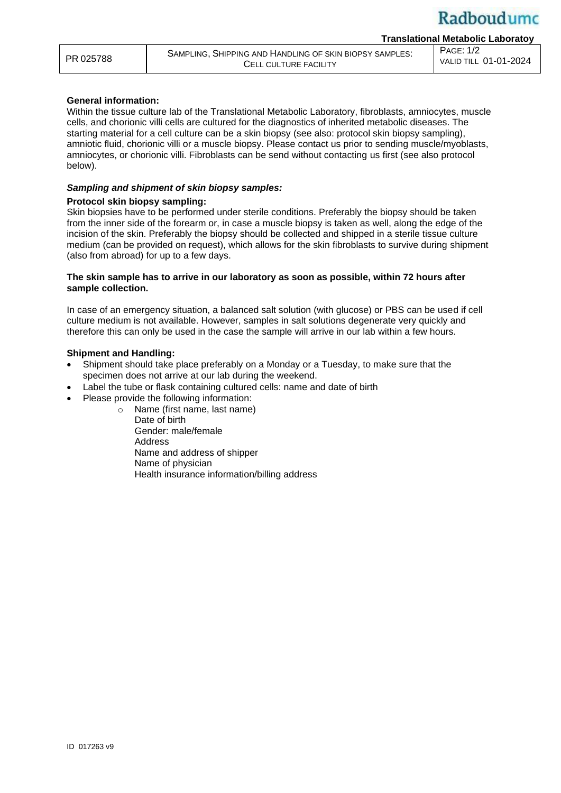VALID TILL 01-01-2024

**Translational Metabolic Laboratoy**

PAGE: 1/2

# **General information:**

Within the tissue culture lab of the Translational Metabolic Laboratory, fibroblasts, amniocytes, muscle cells, and chorionic villi cells are cultured for the diagnostics of inherited metabolic diseases. The starting material for a cell culture can be a skin biopsy (see also: protocol skin biopsy sampling), amniotic fluid, chorionic villi or a muscle biopsy. Please contact us prior to sending muscle/myoblasts, amniocytes, or chorionic villi. Fibroblasts can be send without contacting us first (see also protocol below).

### *Sampling and shipment of skin biopsy samples:*

### **Protocol skin biopsy sampling:**

Skin biopsies have to be performed under sterile conditions. Preferably the biopsy should be taken from the inner side of the forearm or, in case a muscle biopsy is taken as well, along the edge of the incision of the skin. Preferably the biopsy should be collected and shipped in a sterile tissue culture medium (can be provided on request), which allows for the skin fibroblasts to survive during shipment (also from abroad) for up to a few days.

### **The skin sample has to arrive in our laboratory as soon as possible, within 72 hours after sample collection.**

In case of an emergency situation, a balanced salt solution (with glucose) or PBS can be used if cell culture medium is not available. However, samples in salt solutions degenerate very quickly and therefore this can only be used in the case the sample will arrive in our lab within a few hours.

### **Shipment and Handling:**

- Shipment should take place preferably on a Monday or a Tuesday, to make sure that the specimen does not arrive at our lab during the weekend.
- Label the tube or flask containing cultured cells: name and date of birth
- Please provide the following information:

o Name (first name, last name) Date of birth Gender: male/female Address Name and address of shipper Name of physician Health insurance information/billing address